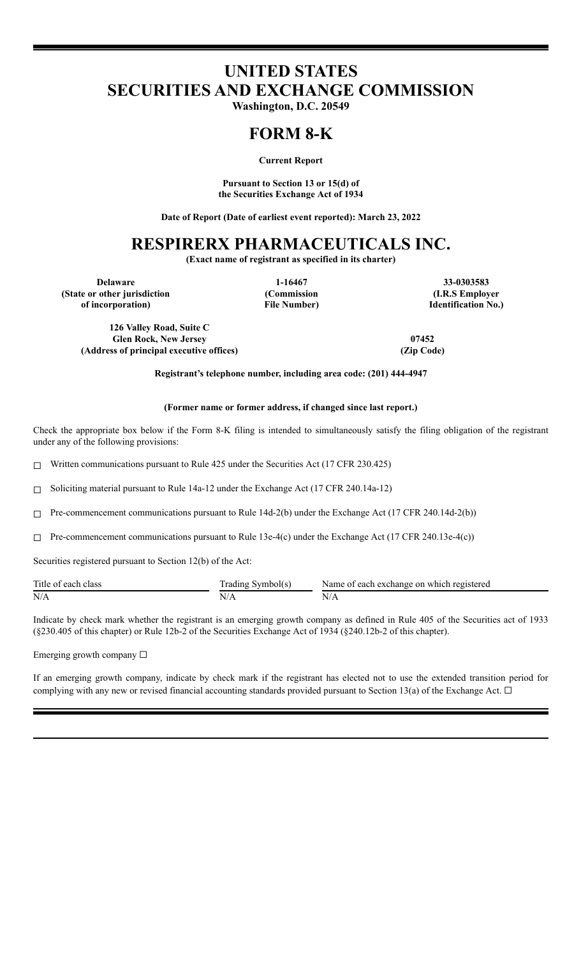# **UNITED STATES SECURITIES AND EXCHANGE COMMISSION**

**Washington, D.C. 20549**

# **FORM 8-K**

**Current Report**

**Pursuant to Section 13 or 15(d) of the Securities Exchange Act of 1934**

**Date of Report (Date of earliest event reported): March 23, 2022**

# **RESPIRERX PHARMACEUTICALS INC.**

**(Exact name of registrant as specified in its charter)**

**(State or other jurisdiction of incorporation)**

**(Commission File Number)**

**Delaware 1-16467 33-0303583 (I.R.S Employer Identification No.)**

**126 Valley Road, Suite C Glen Rock, New Jersey 07452 (Address of principal executive offices) (Zip Code)**

**Registrant's telephone number, including area code: (201) 444-4947**

### **(Former name or former address, if changed since last report.)**

Check the appropriate box below if the Form 8-K filing is intended to simultaneously satisfy the filing obligation of the registrant under any of the following provisions:

☐ Written communications pursuant to Rule 425 under the Securities Act (17 CFR 230.425)

☐ Soliciting material pursuant to Rule 14a-12 under the Exchange Act (17 CFR 240.14a-12)

☐ Pre-commencement communications pursuant to Rule 14d-2(b) under the Exchange Act (17 CFR 240.14d-2(b))

 $\Box$  Pre-commencement communications pursuant to Rule 13e-4(c) under the Exchange Act (17 CFR 240.13e-4(c))

Securities registered pursuant to Section 12(b) of the Act:

| Title of each class | Symbol(s)<br>radıng | Name of each exchange on which registered |
|---------------------|---------------------|-------------------------------------------|
| N/A                 | $\mathbf{y}$        | $N/r_{\rm h}$                             |

Indicate by check mark whether the registrant is an emerging growth company as defined in Rule 405 of the Securities act of 1933 (§230.405 of this chapter) or Rule 12b-2 of the Securities Exchange Act of 1934 (§240.12b-2 of this chapter).

Emerging growth company ☐

If an emerging growth company, indicate by check mark if the registrant has elected not to use the extended transition period for complying with any new or revised financial accounting standards provided pursuant to Section 13(a) of the Exchange Act.  $\Box$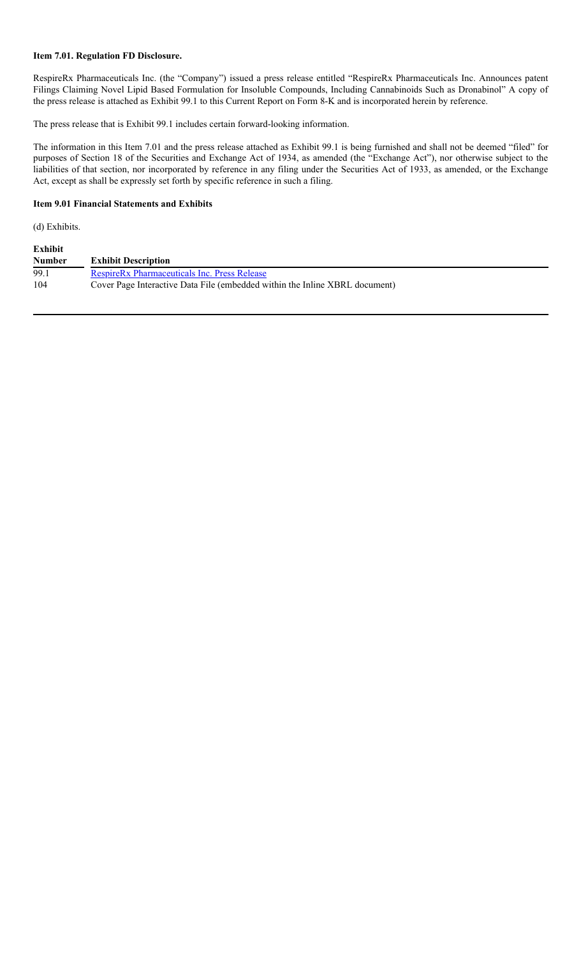## **Item 7.01. Regulation FD Disclosure.**

RespireRx Pharmaceuticals Inc. (the "Company") issued a press release entitled "RespireRx Pharmaceuticals Inc. Announces patent Filings Claiming Novel Lipid Based Formulation for Insoluble Compounds, Including Cannabinoids Such as Dronabinol" A copy of the press release is attached as Exhibit 99.1 to this Current Report on Form 8-K and is incorporated herein by reference.

The press release that is Exhibit 99.1 includes certain forward-looking information.

The information in this Item 7.01 and the press release attached as Exhibit 99.1 is being furnished and shall not be deemed "filed" for purposes of Section 18 of the Securities and Exchange Act of 1934, as amended (the "Exchange Act"), nor otherwise subject to the liabilities of that section, nor incorporated by reference in any filing under the Securities Act of 1933, as amended, or the Exchange Act, except as shall be expressly set forth by specific reference in such a filing.

#### **Item 9.01 Financial Statements and Exhibits**

(d) Exhibits.

| <b>Exhibit</b><br><b>Number</b> | <b>Exhibit Description</b>                                                  |
|---------------------------------|-----------------------------------------------------------------------------|
| 99.1                            | <b>RespireRx Pharmaceuticals Inc. Press Release</b>                         |
| 104                             | Cover Page Interactive Data File (embedded within the Inline XBRL document) |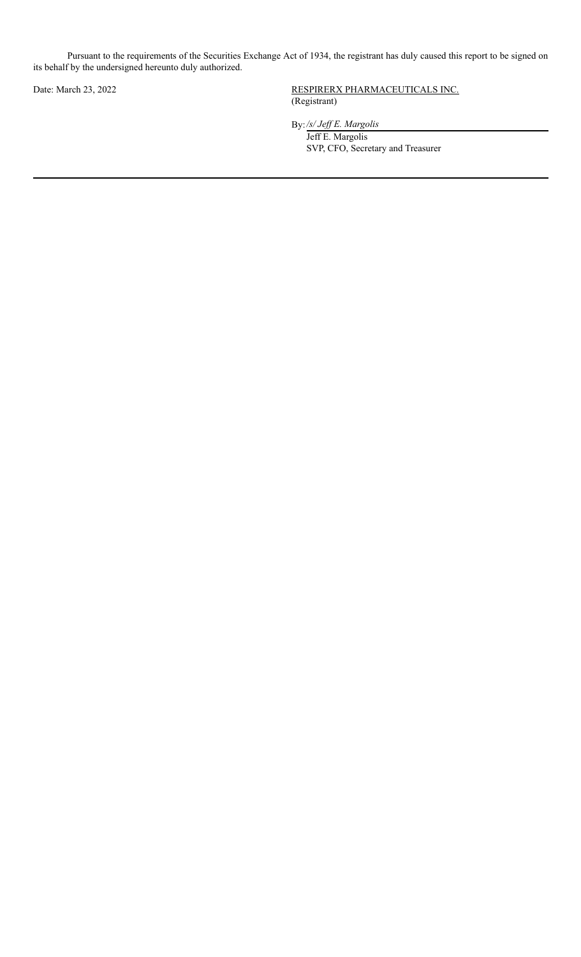Pursuant to the requirements of the Securities Exchange Act of 1934, the registrant has duly caused this report to be signed on its behalf by the undersigned hereunto duly authorized.

Date: March 23, 2022 RESPIRERX PHARMACEUTICALS INC. (Registrant)

By:*/s/ Jef E. Margolis*

Jeff E. Margolis SVP, CFO, Secretary and Treasurer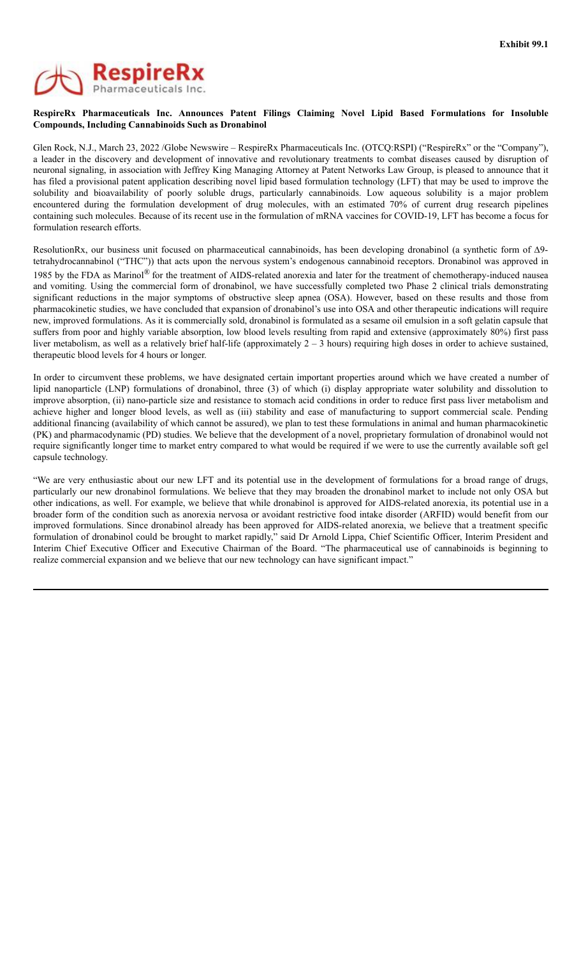

### **RespireRx Pharmaceuticals Inc. Announces Patent Filings Claiming Novel Lipid Based Formulations for Insoluble Compounds, Including Cannabinoids Such as Dronabinol**

Glen Rock, N.J., March 23, 2022 /Globe Newswire – RespireRx Pharmaceuticals Inc. (OTCQ:RSPI) ("RespireRx" or the "Company"), a leader in the discovery and development of innovative and revolutionary treatments to combat diseases caused by disruption of neuronal signaling, in association with Jeffrey King Managing Attorney at Patent Networks Law Group, is pleased to announce that it has filed a provisional patent application describing novel lipid based formulation technology (LFT) that may be used to improve the solubility and bioavailability of poorly soluble drugs, particularly cannabinoids. Low aqueous solubility is a major problem encountered during the formulation development of drug molecules, with an estimated 70% of current drug research pipelines containing such molecules. Because of its recent use in the formulation of mRNA vaccines for COVID-19, LFT has become a focus for formulation research efforts.

ResolutionRx, our business unit focused on pharmaceutical cannabinoids, has been developing dronabinol (a synthetic form of ∆9tetrahydrocannabinol ("THC")) that acts upon the nervous system's endogenous cannabinoid receptors. Dronabinol was approved in 1985 by the FDA as Marinol® for the treatment of AIDS-related anorexia and later for the treatment of chemotherapy-induced nausea and vomiting. Using the commercial form of dronabinol, we have successfully completed two Phase 2 clinical trials demonstrating significant reductions in the major symptoms of obstructive sleep apnea (OSA). However, based on these results and those from pharmacokinetic studies, we have concluded that expansion of dronabinol's use into OSA and other therapeutic indications will require new, improved formulations. As it is commercially sold, dronabinol is formulated as a sesame oil emulsion in a soft gelatin capsule that suffers from poor and highly variable absorption, low blood levels resulting from rapid and extensive (approximately 80%) first pass liver metabolism, as well as a relatively brief half-life (approximately  $2 - 3$  hours) requiring high doses in order to achieve sustained, therapeutic blood levels for 4 hours or longer.

In order to circumvent these problems, we have designated certain important properties around which we have created a number of lipid nanoparticle (LNP) formulations of dronabinol, three (3) of which (i) display appropriate water solubility and dissolution to improve absorption, (ii) nano-particle size and resistance to stomach acid conditions in order to reduce first pass liver metabolism and achieve higher and longer blood levels, as well as (iii) stability and ease of manufacturing to support commercial scale. Pending additional financing (availability of which cannot be assured), we plan to test these formulations in animal and human pharmacokinetic (PK) and pharmacodynamic (PD) studies. We believe that the development of a novel, proprietary formulation of dronabinol would not require significantly longer time to market entry compared to what would be required if we were to use the currently available soft gel capsule technology.

"We are very enthusiastic about our new LFT and its potential use in the development of formulations for a broad range of drugs, particularly our new dronabinol formulations. We believe that they may broaden the dronabinol market to include not only OSA but other indications, as well. For example, we believe that while dronabinol is approved for AIDS-related anorexia, its potential use in a broader form of the condition such as anorexia nervosa or avoidant restrictive food intake disorder (ARFID) would benefit from our improved formulations. Since dronabinol already has been approved for AIDS-related anorexia, we believe that a treatment specific formulation of dronabinol could be brought to market rapidly," said Dr Arnold Lippa, Chief Scientific Officer, Interim President and Interim Chief Executive Officer and Executive Chairman of the Board. "The pharmaceutical use of cannabinoids is beginning to realize commercial expansion and we believe that our new technology can have significant impact."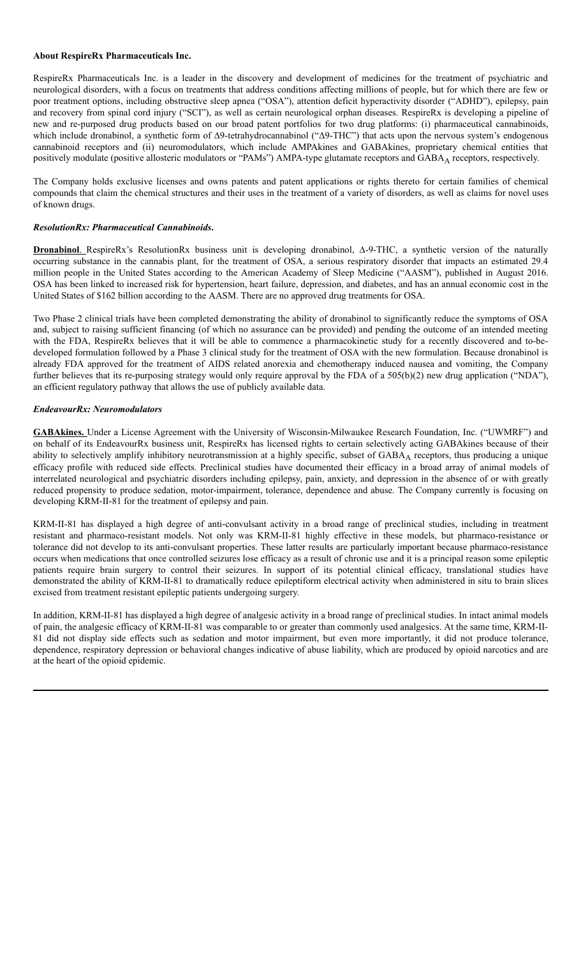### **About RespireRx Pharmaceuticals Inc.**

RespireRx Pharmaceuticals Inc. is a leader in the discovery and development of medicines for the treatment of psychiatric and neurological disorders, with a focus on treatments that address conditions affecting millions of people, but for which there are few or poor treatment options, including obstructive sleep apnea ("OSA"), attention deficit hyperactivity disorder ("ADHD"), epilepsy, pain and recovery from spinal cord injury ("SCI"), as well as certain neurological orphan diseases. RespireRx is developing a pipeline of new and re-purposed drug products based on our broad patent portfolios for two drug platforms: (i) pharmaceutical cannabinoids, which include dronabinol, a synthetic form of Δ9-tetrahydrocannabinol ("Δ9-THC") that acts upon the nervous system's endogenous cannabinoid receptors and (ii) neuromodulators, which include AMPAkines and GABAkines, proprietary chemical entities that positively modulate (positive allosteric modulators or "PAMs") AMPA-type glutamate receptors and GABA<sub>A</sub> receptors, respectively.

The Company holds exclusive licenses and owns patents and patent applications or rights thereto for certain families of chemical compounds that claim the chemical structures and their uses in the treatment of a variety of disorders, as well as claims for novel uses of known drugs.

### *ResolutionRx: Pharmaceutical Cannabinoids***.**

**Dronabinol**. RespireRx's ResolutionRx business unit is developing dronabinol, ∆-9-THC, a synthetic version of the naturally occurring substance in the cannabis plant, for the treatment of OSA, a serious respiratory disorder that impacts an estimated 29.4 million people in the United States according to the American Academy of Sleep Medicine ("AASM"), published in August 2016. OSA has been linked to increased risk for hypertension, heart failure, depression, and diabetes, and has an annual economic cost in the United States of \$162 billion according to the AASM. There are no approved drug treatments for OSA.

Two Phase 2 clinical trials have been completed demonstrating the ability of dronabinol to significantly reduce the symptoms of OSA and, subject to raising sufficient financing (of which no assurance can be provided) and pending the outcome of an intended meeting with the FDA, RespireRx believes that it will be able to commence a pharmacokinetic study for a recently discovered and to-bedeveloped formulation followed by a Phase 3 clinical study for the treatment of OSA with the new formulation. Because dronabinol is already FDA approved for the treatment of AIDS related anorexia and chemotherapy induced nausea and vomiting, the Company further believes that its re-purposing strategy would only require approval by the FDA of a 505(b)(2) new drug application ("NDA"), an efficient regulatory pathway that allows the use of publicly available data.

### *EndeavourRx: Neuromodulators*

**GABAkines.** Under a License Agreement with the University of Wisconsin-Milwaukee Research Foundation, Inc. ("UWMRF") and on behalf of its EndeavourRx business unit, RespireRx has licensed rights to certain selectively acting GABAkines because of their ability to selectively amplify inhibitory neurotransmission at a highly specific, subset of GABA<sub>A</sub> receptors, thus producing a unique efficacy profile with reduced side effects. Preclinical studies have documented their efficacy in a broad array of animal models of interrelated neurological and psychiatric disorders including epilepsy, pain, anxiety, and depression in the absence of or with greatly reduced propensity to produce sedation, motor-impairment, tolerance, dependence and abuse. The Company currently is focusing on developing KRM-II-81 for the treatment of epilepsy and pain.

KRM-II-81 has displayed a high degree of anti-convulsant activity in a broad range of preclinical studies, including in treatment resistant and pharmaco-resistant models. Not only was KRM-II-81 highly effective in these models, but pharmaco-resistance or tolerance did not develop to its anti-convulsant properties. These latter results are particularly important because pharmaco-resistance occurs when medications that once controlled seizures lose efficacy as a result of chronic use and it is a principal reason some epileptic patients require brain surgery to control their seizures. In support of its potential clinical efficacy, translational studies have demonstrated the ability of KRM-II-81 to dramatically reduce epileptiform electrical activity when administered in situ to brain slices excised from treatment resistant epileptic patients undergoing surgery.

In addition, KRM-II-81 has displayed a high degree of analgesic activity in a broad range of preclinical studies. In intact animal models of pain, the analgesic efficacy of KRM-II-81 was comparable to or greater than commonly used analgesics. At the same time, KRM-II-81 did not display side effects such as sedation and motor impairment, but even more importantly, it did not produce tolerance, dependence, respiratory depression or behavioral changes indicative of abuse liability, which are produced by opioid narcotics and are at the heart of the opioid epidemic.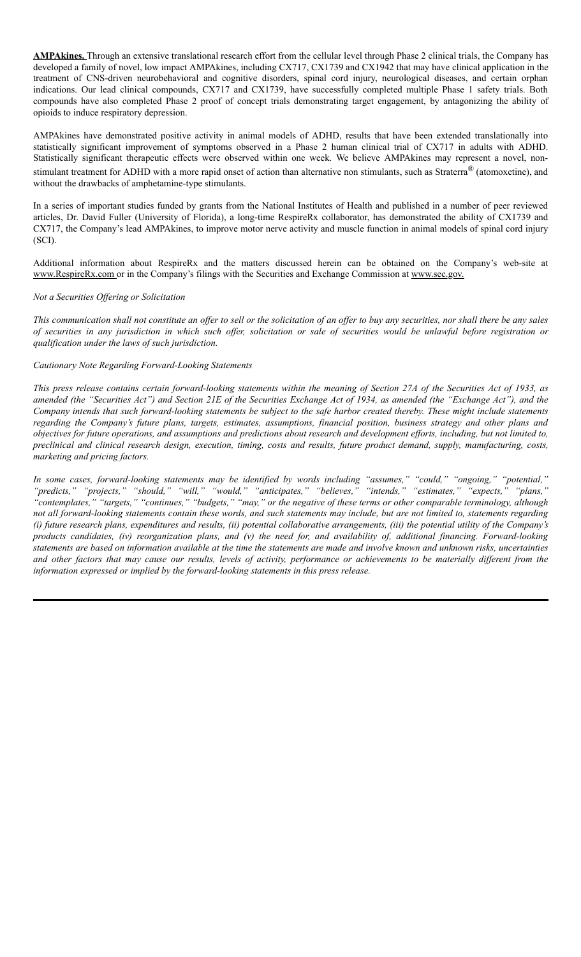**AMPAkines.** Through an extensive translational research effort from the cellular level through Phase 2 clinical trials, the Company has developed a family of novel, low impact AMPAkines, including CX717, CX1739 and CX1942 that may have clinical application in the treatment of CNS-driven neurobehavioral and cognitive disorders, spinal cord injury, neurological diseases, and certain orphan indications. Our lead clinical compounds, CX717 and CX1739, have successfully completed multiple Phase 1 safety trials. Both compounds have also completed Phase 2 proof of concept trials demonstrating target engagement, by antagonizing the ability of opioids to induce respiratory depression.

AMPAkines have demonstrated positive activity in animal models of ADHD, results that have been extended translationally into statistically significant improvement of symptoms observed in a Phase 2 human clinical trial of CX717 in adults with ADHD. Statistically significant therapeutic effects were observed within one week. We believe AMPAkines may represent a novel, nonstimulant treatment for ADHD with a more rapid onset of action than alternative non stimulants, such as Straterra® (atomoxetine), and without the drawbacks of amphetamine-type stimulants.

In a series of important studies funded by grants from the National Institutes of Health and published in a number of peer reviewed articles, Dr. David Fuller (University of Florida), a long-time RespireRx collaborator, has demonstrated the ability of CX1739 and CX717, the Company's lead AMPAkines, to improve motor nerve activity and muscle function in animal models of spinal cord injury (SCI).

Additional information about RespireRx and the matters discussed herein can be obtained on the Company's web-site at www.RespireRx.com or in the Company's filings with the Securities and Exchange Commission at www.sec.gov.

#### *Not a Securities Of ering or Solicitation*

This communication shall not constitute an offer to sell or the solicitation of an offer to buy any securities, nor shall there be any sales of securities in any jurisdiction in which such offer, solicitation or sale of securities would be unlawful before registration or *qualification under the laws of such jurisdiction.*

#### *Cautionary Note Regarding Forward-Looking Statements*

This press release contains certain forward-looking statements within the meaning of Section 27A of the Securities Act of 1933, as amended (the "Securities Act") and Section 21E of the Securities Exchange Act of 1934, as amended (the "Exchange Act"), and the Company intends that such forward-looking statements be subject to the safe harbor created thereby. These might include statements regarding the Company's future plans, targets, estimates, assumptions, financial position, business strategy and other plans and objectives for future operations, and assumptions and predictions about research and development efforts, including, but not limited to, preclinical and clinical research design, execution, timing, costs and results, future product demand, supply, manufacturing, costs, *marketing and pricing factors.*

In some cases, forward-looking statements may be identified by words including "assumes," "could," "ongoing," "potential," *"predicts," "projects," "should," "will," "would," "anticipates," "believes," "intends," "estimates," "expects," "plans,"* "contemplates," "targets," "continues," "budgets," "may," or the negative of these terms or other comparable terminology, although not all forward-looking statements contain these words, and such statements may include, but are not limited to, statements regarding (i) future research plans, expenditures and results, (ii) potential collaborative arrangements, (iii) the potential utility of the Company's products candidates, (iv) reorganization plans, and (v) the need for, and availability of, additional financing. Forward-looking statements are based on information available at the time the statements are made and involve known and unknown risks, uncertainties and other factors that may cause our results, levels of activity, performance or achievements to be materially different from the *information expressed or implied by the forward-looking statements in this press release.*